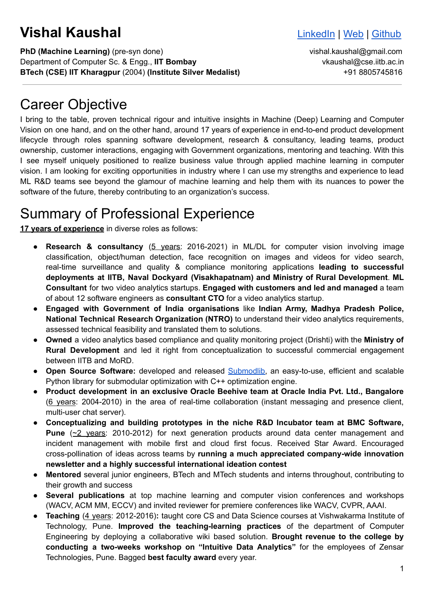# **Vishal Kaushal Vishal** [LinkedIn](https://linkedin.com/in/vishalkaushal) | [Web](http://www.vishalkaushal.in) | [Github](https://github.com/vishkaush)

**PhD (Machine Learning)** (pre-syn done) vishal.kaushal@gmail.com Department of Computer Sc. & Engg., **IIT Bombay** vkaushal@cse.iitb.ac.in **BTech (CSE) IIT Kharagpur** (2004) **(Institute Silver Medalist)** +91 8805745816

#### Career Objective

I bring to the table, proven technical rigour and intuitive insights in Machine (Deep) Learning and Computer Vision on one hand, and on the other hand, around 17 years of experience in end-to-end product development lifecycle through roles spanning software development, research & consultancy, leading teams, product ownership, customer interactions, engaging with Government organizations, mentoring and teaching. With this I see myself uniquely positioned to realize business value through applied machine learning in computer vision. I am looking for exciting opportunities in industry where I can use my strengths and experience to lead ML R&D teams see beyond the glamour of machine learning and help them with its nuances to power the software of the future, thereby contributing to an organization's success.

# Summary of Professional Experience

**17 years of experience** in diverse roles as follows:

- **Research & consultancy** (5 years: 2016-2021) in ML/DL for computer vision involving image classification, object/human detection, face recognition on images and videos for video search, real-time surveillance and quality & compliance monitoring applications **leading to successful deployments at IITB, Naval Dockyard (Visakhapatnam) and Ministry of Rural Development**. **ML Consultant** for two video analytics startups. **Engaged with customers and led and managed** a team of about 12 software engineers as **consultant CTO** for a video analytics startup.
- **Engaged with Government of India organisations** like **Indian Army, Madhya Pradesh Police, National Technical Research Organization (NTRO)** to understand their video analytics requirements, assessed technical feasibility and translated them to solutions.
- **Owned** a video analytics based compliance and quality monitoring project (Drishti) with the **Ministry of Rural Development** and led it right from conceptualization to successful commercial engagement between IITB and MoRD.
- **Open Source Software:** developed and released [Submodlib,](https://github.com/decile-team/submodlib) an easy-to-use, efficient and scalable Python library for submodular optimization with C++ optimization engine.
- **Product development in an exclusive Oracle Beehive team at Oracle India Pvt. Ltd., Bangalore** (6 years: 2004-2010) in the area of real-time collaboration (instant messaging and presence client, multi-user chat server).
- **Conceptualizing and building prototypes in the niche R&D Incubator team at BMC Software, Pune** (~2 years: 2010-2012) for next generation products around data center management and incident management with mobile first and cloud first focus. Received Star Award. Encouraged cross-pollination of ideas across teams by **running a much appreciated company-wide innovation newsletter and a highly successful international ideation contest**
- **Mentored** several junior engineers, BTech and MTech students and interns throughout, contributing to their growth and success
- **Several publications** at top machine learning and computer vision conferences and workshops (WACV, ACM MM, ECCV) and invited reviewer for premiere conferences like WACV, CVPR, AAAI.
- **Teaching** (4 years: 2012-2016): taught core CS and Data Science courses at Vishwakarma Institute of Technology, Pune. **Improved the teaching-learning practices** of the department of Computer Engineering by deploying a collaborative wiki based solution. **Brought revenue to the college by conducting a two-weeks workshop on "Intuitive Data Analytics"** for the employees of Zensar Technologies, Pune. Bagged **best faculty award** every year.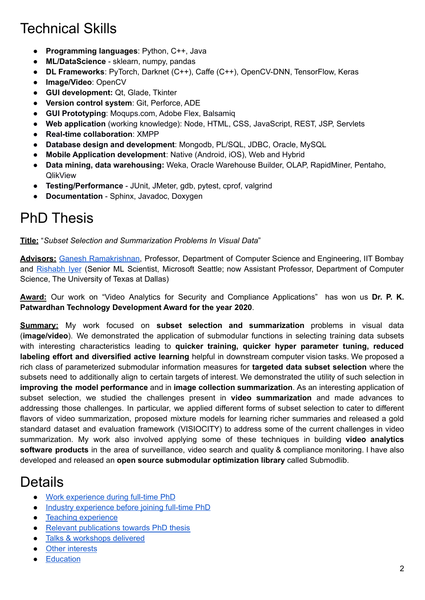# Technical Skills

- **Programming languages**: Python, C++, Java
- **ML/DataScience** sklearn, numpy, pandas
- **DL Frameworks**: PyTorch, Darknet (C++), Caffe (C++), OpenCV-DNN, TensorFlow, Keras
- **Image/Video**: OpenCV
- **GUI development:** Qt, Glade, Tkinter
- **Version control system**: Git, Perforce, ADE
- **GUI Prototyping**: Moqups.com, Adobe Flex, Balsamiq
- **Web application** (working knowledge): Node, HTML, CSS, JavaScript, REST, JSP, Servlets
- **Real-time collaboration**: XMPP
- **Database design and development**: Mongodb, PL/SQL, JDBC, Oracle, MySQL
- **Mobile Application development**: Native (Android, iOS), Web and Hybrid
- **Data mining, data warehousing:** Weka, Oracle Warehouse Builder, OLAP, RapidMiner, Pentaho, **QlikView**
- **Testing/Performance** JUnit, JMeter, gdb, pytest, cprof, valgrind
- **Documentation** Sphinx, Javadoc, Doxygen

### PhD Thesis

**Title:** "*Subset Selection and Summarization Problems In Visual Data*"

**Advisors:** Ganesh [Ramakrishnan](http://www.cse.iitb.ac.in/~ganesh), Professor, Department of Computer Science and Engineering, IIT Bombay and [Rishabh](https://cs.utdallas.edu/people/faculty/iyer-rishabh/) Iyer (Senior ML Scientist, Microsoft Seattle; now Assistant Professor, Department of Computer Science, The University of Texas at Dallas)

**Award:** Our work on "Video Analytics for Security and Compliance Applications" has won us **Dr. P. K. Patwardhan Technology Development Award for the year 2020**.

**Summary:** My work focused on **subset selection and summarization** problems in visual data (**image/video**). We demonstrated the application of submodular functions in selecting training data subsets with interesting characteristics leading to **quicker training, quicker hyper parameter tuning, reduced labeling effort and diversified active learning** helpful in downstream computer vision tasks. We proposed a rich class of parameterized submodular information measures for **targeted data subset selection** where the subsets need to additionally align to certain targets of interest. We demonstrated the utility of such selection in **improving the model performance** and in **image collection summarization**. As an interesting application of subset selection, we studied the challenges present in **video summarization** and made advances to addressing those challenges. In particular, we applied different forms of subset selection to cater to different flavors of video summarization, proposed mixture models for learning richer summaries and released a gold standard dataset and evaluation framework (VISIOCITY) to address some of the current challenges in video summarization. My work also involved applying some of these techniques in building **video analytics software products** in the area of surveillance, video search and quality & compliance monitoring. I have also developed and released an **open source submodular optimization library** called Submodlib.

#### **Details**

- Work [experience](#page-2-0) during full-time PhD
- Industry [experience](#page-3-0) before joining full-time PhD
- Teaching [experience](#page-4-0)
- Relevant [publications](#page-4-1) towards PhD thesis
- Talks & [workshops](#page-5-0) delivered
- Other [interests](#page-5-1)
- [Education](#page-5-2)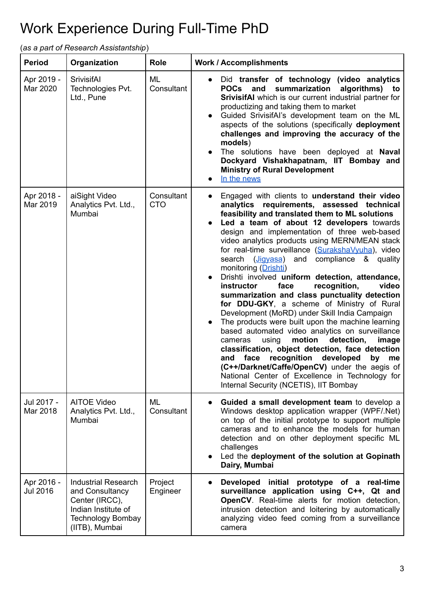# <span id="page-2-0"></span>Work Experience During Full-Time PhD

(*as a part of Research Assistantship*)

| <b>Period</b>                 | Organization                                                                                                                         | <b>Role</b>              | <b>Work / Accomplishments</b>                                                                                                                                                                                                                                                                                                                                                                                                                                                                                                                                                                                                                                                                                                                                                                                                                                                                                                                                                                                                                                                           |
|-------------------------------|--------------------------------------------------------------------------------------------------------------------------------------|--------------------------|-----------------------------------------------------------------------------------------------------------------------------------------------------------------------------------------------------------------------------------------------------------------------------------------------------------------------------------------------------------------------------------------------------------------------------------------------------------------------------------------------------------------------------------------------------------------------------------------------------------------------------------------------------------------------------------------------------------------------------------------------------------------------------------------------------------------------------------------------------------------------------------------------------------------------------------------------------------------------------------------------------------------------------------------------------------------------------------------|
| Apr 2019 -<br>Mar 2020        | <b>SrivisifAI</b><br>Technologies Pvt.<br>Ltd., Pune                                                                                 | ML<br>Consultant         | Did transfer of technology (video analytics<br>summarization<br>POCs and<br>algorithms) to<br><b>SrivisifAI</b> which is our current industrial partner for<br>productizing and taking them to market<br>Guided SrivisifAI's development team on the ML<br>aspects of the solutions (specifically deployment<br>challenges and improving the accuracy of the<br>models)<br>The solutions have been deployed at Naval<br>Dockyard Vishakhapatnam, IIT Bombay and<br><b>Ministry of Rural Development</b><br>In the news                                                                                                                                                                                                                                                                                                                                                                                                                                                                                                                                                                  |
| Apr 2018 -<br>Mar 2019        | aiSight Video<br>Analytics Pvt. Ltd.,<br>Mumbai                                                                                      | Consultant<br><b>CTO</b> | Engaged with clients to understand their video<br>analytics requirements, assessed technical<br>feasibility and translated them to ML solutions<br>Led a team of about 12 developers towards<br>design and implementation of three web-based<br>video analytics products using MERN/MEAN stack<br>for real-time surveillance (SurakshaVyuha), video<br>search (Jigyasa) and compliance & quality<br>monitoring (Drishti)<br>Drishti involved uniform detection, attendance,<br>face<br>recognition,<br>instructor<br>video<br>summarization and class punctuality detection<br>for DDU-GKY, a scheme of Ministry of Rural<br>Development (MoRD) under Skill India Campaign<br>The products were built upon the machine learning<br>based automated video analytics on surveillance<br>motion<br>detection,<br>cameras<br>using<br>image<br>classification, object detection, face detection<br>and face recognition developed<br>by<br>me<br>(C++/Darknet/Caffe/OpenCV) under the aegis of<br>National Center of Excellence in Technology for<br>Internal Security (NCETIS), IIT Bombay |
| Jul 2017 -<br>Mar 2018        | <b>AITOE Video</b><br>Analytics Pvt. Ltd.,<br>Mumbai                                                                                 | ML<br>Consultant         | Guided a small development team to develop a<br>Windows desktop application wrapper (WPF/.Net)<br>on top of the initial prototype to support multiple<br>cameras and to enhance the models for human<br>detection and on other deployment specific ML<br>challenges<br>Led the deployment of the solution at Gopinath<br>Dairy, Mumbai                                                                                                                                                                                                                                                                                                                                                                                                                                                                                                                                                                                                                                                                                                                                                  |
| Apr 2016 -<br><b>Jul 2016</b> | <b>Industrial Research</b><br>and Consultancy<br>Center (IRCC),<br>Indian Institute of<br><b>Technology Bombay</b><br>(IITB), Mumbai | Project<br>Engineer      | Developed initial prototype of a real-time<br>surveillance application using C++, Qt and<br><b>OpenCV</b> . Real-time alerts for motion detection,<br>intrusion detection and loitering by automatically<br>analyzing video feed coming from a surveillance<br>camera                                                                                                                                                                                                                                                                                                                                                                                                                                                                                                                                                                                                                                                                                                                                                                                                                   |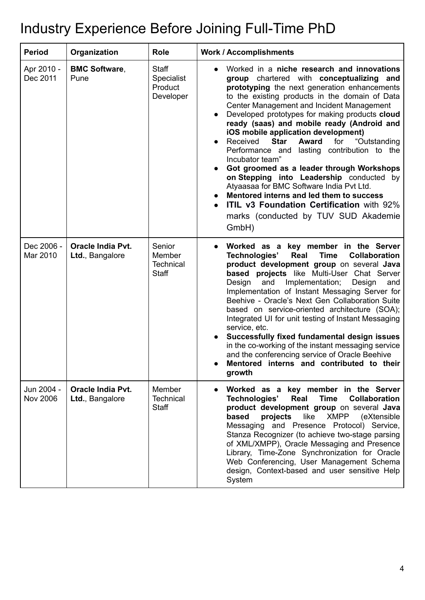# <span id="page-3-0"></span>Industry Experience Before Joining Full-Time PhD

| <b>Period</b>                 | Organization                         | <b>Role</b>                                               | <b>Work / Accomplishments</b>                                                                                                                                                                                                                                                                                                                                                                                                                                                                                                                                                                                                                                                                                                                                                                          |
|-------------------------------|--------------------------------------|-----------------------------------------------------------|--------------------------------------------------------------------------------------------------------------------------------------------------------------------------------------------------------------------------------------------------------------------------------------------------------------------------------------------------------------------------------------------------------------------------------------------------------------------------------------------------------------------------------------------------------------------------------------------------------------------------------------------------------------------------------------------------------------------------------------------------------------------------------------------------------|
| Apr 2010 -<br>Dec 2011        | <b>BMC Software,</b><br>Pune         | <b>Staff</b><br><b>Specialist</b><br>Product<br>Developer | Worked in a niche research and innovations<br>group chartered with conceptualizing and<br>prototyping the next generation enhancements<br>to the existing products in the domain of Data<br>Center Management and Incident Management<br>Developed prototypes for making products cloud<br>ready (saas) and mobile ready (Android and<br>iOS mobile application development)<br>Received<br><b>Award</b><br>"Outstanding<br><b>Star</b><br>for<br>Performance and lasting contribution to the<br>Incubator team"<br>Got groomed as a leader through Workshops<br>on Stepping into Leadership conducted by<br>Atyaasaa for BMC Software India Pvt Ltd.<br>Mentored interns and led them to success<br><b>ITIL v3 Foundation Certification with 92%</b><br>marks (conducted by TUV SUD Akademie<br>GmbH) |
| Dec 2006 -<br>Mar 2010        | Oracle India Pvt.<br>Ltd., Bangalore | Senior<br>Member<br><b>Technical</b><br><b>Staff</b>      | Worked as a key member in the Server<br><b>Time</b><br>Technologies'<br>Real<br>Collaboration<br>product development group on several Java<br>based projects like Multi-User Chat Server<br>Implementation;<br>Design<br>and<br>Design<br>and<br>Implementation of Instant Messaging Server for<br>Beehive - Oracle's Next Gen Collaboration Suite<br>based on service-oriented architecture (SOA);<br>Integrated UI for unit testing of Instant Messaging<br>service, etc.<br>Successfully fixed fundamental design issues<br>in the co-working of the instant messaging service<br>and the conferencing service of Oracle Beehive<br>Mentored interns and contributed to their<br>growth                                                                                                             |
| Jun 2004 -<br><b>Nov 2006</b> | Oracle India Pvt.<br>Ltd., Bangalore | Member<br><b>Technical</b><br><b>Staff</b>                | Worked as a key member in the Server<br>Real<br><b>Time</b><br><b>Collaboration</b><br>Technologies'<br>product development group on several Java<br>based<br>projects<br>like<br><b>XMPP</b><br>(eXtensible)<br>Messaging and Presence Protocol) Service,<br>Stanza Recognizer (to achieve two-stage parsing<br>of XML/XMPP), Oracle Messaging and Presence<br>Library, Time-Zone Synchronization for Oracle<br>Web Conferencing, User Management Schema<br>design, Context-based and user sensitive Help<br>System                                                                                                                                                                                                                                                                                   |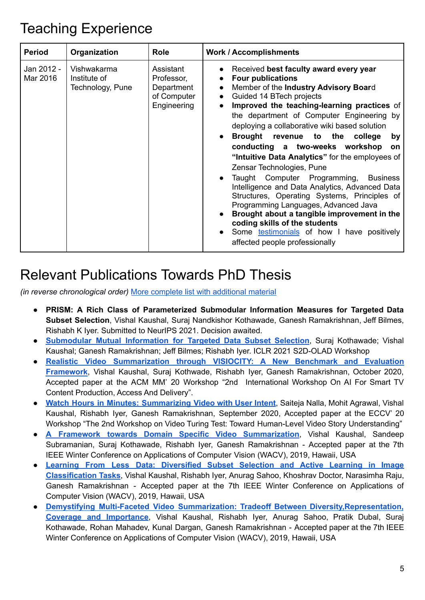### <span id="page-4-0"></span>Teaching Experience

| <b>Period</b>          | Organization                                    | <b>Role</b>                                                         | <b>Work / Accomplishments</b>                                                                                                                                                                                                                                                                                                                                                                                                                                                                                                                                                                                                                                                                                                                                                                                                                                |
|------------------------|-------------------------------------------------|---------------------------------------------------------------------|--------------------------------------------------------------------------------------------------------------------------------------------------------------------------------------------------------------------------------------------------------------------------------------------------------------------------------------------------------------------------------------------------------------------------------------------------------------------------------------------------------------------------------------------------------------------------------------------------------------------------------------------------------------------------------------------------------------------------------------------------------------------------------------------------------------------------------------------------------------|
| Jan 2012 -<br>Mar 2016 | Vishwakarma<br>Institute of<br>Technology, Pune | Assistant<br>Professor,<br>Department<br>of Computer<br>Engineering | Received best faculty award every year<br><b>Four publications</b><br>Member of the Industry Advisory Board<br>$\bullet$<br>Guided 14 BTech projects<br>$\bullet$<br>Improved the teaching-learning practices of<br>the department of Computer Engineering by<br>deploying a collaborative wiki based solution<br>Brought revenue to the college<br>by<br>conducting a two-weeks workshop<br><b>on</b><br>"Intuitive Data Analytics" for the employees of<br>Zensar Technologies, Pune<br>Taught Computer Programming,<br><b>Business</b><br>Intelligence and Data Analytics, Advanced Data<br>Structures, Operating Systems, Principles of<br>Programming Languages, Advanced Java<br>Brought about a tangible improvement in the<br>coding skills of the students<br>• Some <b>testimonials</b> of how I have positively<br>affected people professionally |

## <span id="page-4-1"></span>Relevant Publications Towards PhD Thesis

*(in reverse chronological order)* More complete list with [additional](https://www.cse.iitb.ac.in/~vkaushal/publication/) material

- **PRISM: A Rich Class of Parameterized Submodular Information Measures for Targeted Data Subset Selection**, Vishal Kaushal, Suraj Nandkishor Kothawade, Ganesh Ramakrishnan, Jeff Bilmes, Rishabh K Iyer. Submitted to NeurIPS 2021. Decision awaited.
- **[Submodular](https://s2d-olad.github.io/papers/submission-12.pdf) Mutual Information for Targeted Data Subset Selection**, Suraj Kothawade; Vishal Kaushal; Ganesh Ramakrishnan; Jeff Bilmes; Rishabh Iyer. ICLR 2021 S2D-OLAD Workshop
- **Realistic Video [Summarization](https://visiocity.github.io) through VISIOCITY: A New Benchmark and Evaluation [Framework](https://visiocity.github.io)**, Vishal Kaushal, Suraj Kothwade, Rishabh Iyer, Ganesh Ramakrishnan, October 2020, Accepted paper at the ACM MM' 20 Workshop "2nd International Workshop On AI For Smart TV Content Production, Access And Delivery".
- **Watch Hours in Minutes: [Summarizing](https://scholar.google.co.in/citations?view_op=view_citation&hl=en&user=c9y11D4AAAAJ&citation_for_view=c9y11D4AAAAJ:YsMSGLbcyi4C) Video with User Intent**, Saiteja Nalla, Mohit Agrawal, Vishal Kaushal, Rishabh Iyer, Ganesh Ramakrishnan, September 2020, Accepted paper at the ECCV' 20 Workshop "The 2nd Workshop on Video Turing Test: Toward Human-Level Video Story Understanding"
- **A Framework towards Domain Specific Video [Summarization](https://ieeexplore.ieee.org/document/8659022/)**, Vishal Kaushal, Sandeep Subramanian, Suraj Kothawade, Rishabh Iyer, Ganesh Ramakrishnan - Accepted paper at the 7th IEEE Winter Conference on Applications of Computer Vision (WACV), 2019, Hawaii, USA
- **Learning From Less Data: [Diversified](https://ieeexplore.ieee.org/document/8658965) Subset Selection and Active Learning in Image [Classification](https://ieeexplore.ieee.org/document/8658965) Tasks**, Vishal Kaushal, Rishabh Iyer, Anurag Sahoo, Khoshrav Doctor, Narasimha Raju, Ganesh Ramakrishnan - Accepted paper at the 7th IEEE Winter Conference on Applications of Computer Vision (WACV), 2019, Hawaii, USA
- **Demystifying Multi-Faceted Video Summarization: Tradeoff Between [Diversity,Representation,](https://ieeexplore.ieee.org/document/8659119) Coverage and [Importance](https://ieeexplore.ieee.org/document/8659119)**, Vishal Kaushal, Rishabh Iyer, Anurag Sahoo, Pratik Dubal, Suraj Kothawade, Rohan Mahadev, Kunal Dargan, Ganesh Ramakrishnan - Accepted paper at the 7th IEEE Winter Conference on Applications of Computer Vision (WACV), 2019, Hawaii, USA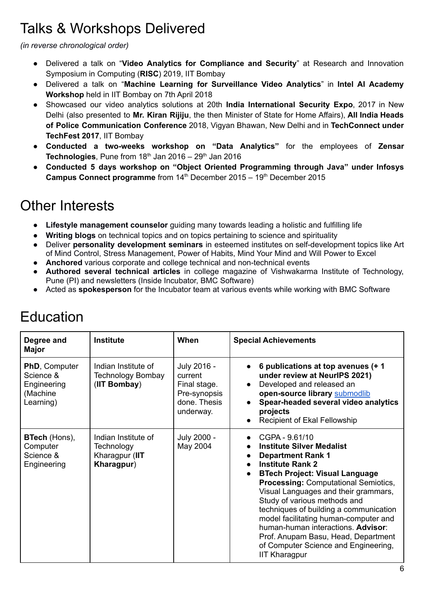# <span id="page-5-0"></span>Talks & Workshops Delivered

*(in reverse chronological order)*

- Delivered a talk on "**Video Analytics for Compliance and Security**" at Research and Innovation Symposium in Computing (**RISC**) 2019, IIT Bombay
- Delivered a talk on "**Machine Learning for Surveillance Video Analytics**" in **Intel AI Academy Workshop** held in IIT Bombay on 7th April 2018
- Showcased our video analytics solutions at 20th **India International Security Expo**, 2017 in New Delhi (also presented to **Mr. Kiran Rijiju**, the then Minister of State for Home Affairs), **All India Heads of Police Communication Conference** 2018, Vigyan Bhawan, New Delhi and in **TechConnect under TechFest 2017**, IIT Bombay
- **Conducted a two-weeks workshop on "Data Analytics"** for the employees of **Zensar** Technologies, Pune from 18<sup>th</sup> Jan 2016 – 29<sup>th</sup> Jan 2016
- **Conducted 5 days workshop on "Object Oriented Programming through Java" under Infosys Campus Connect programme** from 14<sup>th</sup> December 2015 – 19<sup>th</sup> December 2015

## <span id="page-5-1"></span>Other Interests

- **Lifestyle management counselor** guiding many towards leading a holistic and fulfilling life
- **Writing blogs** on technical topics and on topics pertaining to science and spirituality
- Deliver **personality development seminars** in esteemed institutes on self-development topics like Art of Mind Control, Stress Management, Power of Habits, Mind Your Mind and Will Power to Excel
- **Anchored** various corporate and college technical and non-technical events
- **Authored several technical articles** in college magazine of Vishwakarma Institute of Technology, Pune (PI) and newsletters (Inside Incubator, BMC Software)
- Acted as **spokesperson** for the Incubator team at various events while working with BMC Software

| Degree and<br>Major                                                       | <b>Institute</b>                                                  | When                                                                                | <b>Special Achievements</b>                                                                                                                                                                                                                                                                                                                                                                                                                                                                                                         |
|---------------------------------------------------------------------------|-------------------------------------------------------------------|-------------------------------------------------------------------------------------|-------------------------------------------------------------------------------------------------------------------------------------------------------------------------------------------------------------------------------------------------------------------------------------------------------------------------------------------------------------------------------------------------------------------------------------------------------------------------------------------------------------------------------------|
| <b>PhD, Computer</b><br>Science &<br>Engineering<br>(Machine<br>Learning) | Indian Institute of<br>Technology Bombay<br>(IIT Bombay)          | July 2016 -<br>current<br>Final stage.<br>Pre-synopsis<br>done. Thesis<br>underway. | 6 publications at top avenues (+ 1)<br>$\bullet$<br>under review at NeurlPS 2021)<br>Developed and released an<br>$\bullet$<br>open-source library submodlib<br>Spear-headed several video analytics<br>$\bullet$<br>projects<br>Recipient of Ekal Fellowship<br>$\bullet$                                                                                                                                                                                                                                                          |
| <b>BTech</b> (Hons),<br>Computer<br>Science &<br>Engineering              | Indian Institute of<br>Technology<br>Kharagpur (IIT<br>Kharagpur) | July 2000 -<br>May 2004                                                             | CGPA - 9.61/10<br><b>Institute Silver Medalist</b><br><b>Department Rank 1</b><br><b>Institute Rank 2</b><br>$\bullet$<br><b>BTech Project: Visual Language</b><br>$\bullet$<br><b>Processing: Computational Semiotics,</b><br>Visual Languages and their grammars,<br>Study of various methods and<br>techniques of building a communication<br>model facilitating human-computer and<br>human-human interactions. Advisor:<br>Prof. Anupam Basu, Head, Department<br>of Computer Science and Engineering,<br><b>IIT Kharagpur</b> |

# <span id="page-5-2"></span>Education